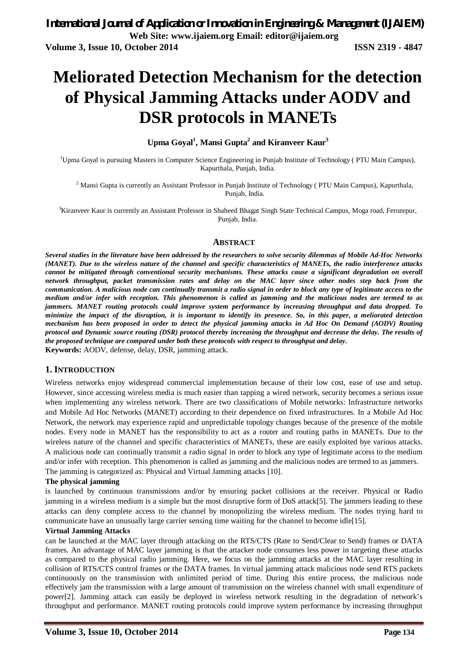# **Meliorated Detection Mechanism for the detection of Physical Jamming Attacks under AODV and DSR protocols in MANETs**

### **Upma Goyal<sup>1</sup> , Mansi Gupta<sup>2</sup> and Kiranveer Kaur<sup>3</sup>**

<sup>1</sup>Upma Goyal is pursuing Masters in Computer Science Engineering in Punjab Institute of Technology (PTU Main Campus), Kapurthala, Punjab, India.

<sup>2</sup> Mansi Gupta is currently an Assistant Professor in Punjab Institute of Technology ( PTU Main Campus), Kapurthala, Punjab, India.

<sup>3</sup>Kiranveer Kaur is currently an Assistant Professor in Shaheed Bhagat Singh State Technical Campus, Moga road, Ferozepur, Punjab, India.

#### **ABSTRACT**

*Several studies in the literature have been addressed by the researchers to solve security dilemmas of Mobile Ad-Hoc Networks (MANET). Due to the wireless nature of the channel and specific characteristics of MANETs, the radio interference attacks cannot be mitigated through conventional security mechanisms. These attacks cause a significant degradation on overall network throughput, packet transmission rates and delay on the MAC layer since other nodes step back from the communication. A malicious node can continually transmit a radio signal in order to block any type of legitimate access to the medium and/or infer with reception. This phenomenon is called as jamming and the malicious nodes are termed to as jammers. MANET routing protocols could improve system performance by increasing throughput and data dropped. To minimize the impact of the disruption, it is important to identify its presence. So, in this paper, a meliorated detection mechanism has been proposed in order to detect the physical jamming attacks in Ad Hoc On Demand (AODV) Routing protocol and Dynamic source routing (DSR) protocol thereby increasing the throughput and decrease the delay. The results of the proposed technique are compared under both these protocols with respect to throughput and delay.* **Keywords:** AODV, defense, delay, DSR, jamming attack.

#### **1. INTRODUCTION**

Wireless networks enjoy widespread commercial implementation because of their low cost, ease of use and setup. However, since accessing wireless media is much easier than tapping a wired network, security becomes a serious issue when implementing any wireless network. There are two classifications of Mobile networks: Infrastructure networks and Mobile Ad Hoc Networks (MANET) according to their dependence on fixed infrastructures. In a Mobile Ad Hoc Network, the network may experience rapid and unpredictable topology changes because of the presence of the mobile nodes. Every node in MANET has the responsibility to act as a router and routing paths in MANETs. Due to the wireless nature of the channel and specific characteristics of MANETs, these are easily exploited bye various attacks. A malicious node can continually transmit a radio signal in order to block any type of legitimate access to the medium and/or infer with reception. This phenomenon is called as jamming and the malicious nodes are termed to as jammers. The jamming is categorized as: Physical and Virtual Jamming attacks [10].

#### **The physical jamming**

is launched by continuous transmissions and/or by ensuring packet collisions at the receiver. Physical or Radio jamming in a wireless medium is a simple but the most disruptive form of DoS attack[5]. The jammers leading to these attacks can deny complete access to the channel by monopolizing the wireless medium. The nodes trying hard to communicate have an unusually large carrier sensing time waiting for the channel to become idle[15].

#### **Virtual Jamming Attacks**

can be launched at the MAC layer through attacking on the RTS/CTS (Rate to Send/Clear to Send) frames or DATA frames. An advantage of MAC layer jamming is that the attacker node consumes less power in targeting these attacks as compared to the physical radio jamming. Here, we focus on the jamming attacks at the MAC layer resulting in collision of RTS/CTS control frames or the DATA frames. In virtual jamming attack malicious node send RTS packets continuously on the transmission with unlimited period of time. During this entire process, the malicious node effectively jam the transmission with a large amount of transmission on the wireless channel with small expenditure of power[2]. Jamming attack can easily be deployed in wireless network resulting in the degradation of network's throughput and performance. MANET routing protocols could improve system performance by increasing throughput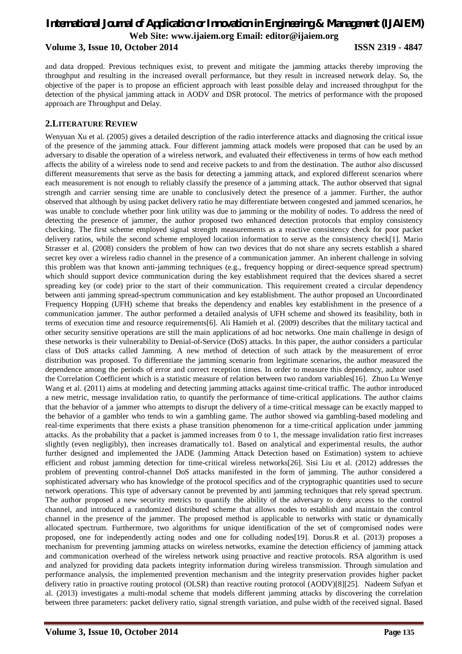and data dropped. Previous techniques exist, to prevent and mitigate the jamming attacks thereby improving the throughput and resulting in the increased overall performance, but they result in increased network delay. So, the objective of the paper is to propose an efficient approach with least possible delay and increased throughput for the detection of the physical jamming attack in AODV and DSR protocol. The metrics of performance with the proposed approach are Throughput and Delay.

#### **2.LITERATURE REVIEW**

Wenyuan Xu et al. (2005) gives a detailed description of the radio interference attacks and diagnosing the critical issue of the presence of the jamming attack. Four different jamming attack models were proposed that can be used by an adversary to disable the operation of a wireless network, and evaluated their effectiveness in terms of how each method affects the ability of a wireless node to send and receive packets to and from the destination. The author also discussed different measurements that serve as the basis for detecting a jamming attack, and explored different scenarios where each measurement is not enough to reliably classify the presence of a jamming attack. The author observed that signal strength and carrier sensing time are unable to conclusively detect the presence of a jammer. Further, the author observed that although by using packet delivery ratio he may differentiate between congested and jammed scenarios, he was unable to conclude whether poor link utility was due to jamming or the mobility of nodes. To address the need of detecting the presence of jammer, the author proposed two enhanced detection protocols that employ consistency checking. The first scheme employed signal strength measurements as a reactive consistency check for poor packet delivery ratios, while the second scheme employed location information to serve as the consistency check[1]. Mario Strasser et al. (2008) considers the problem of how can two devices that do not share any secrets establish a shared secret key over a wireless radio channel in the presence of a communication jammer. An inherent challenge in solving this problem was that known anti-jamming techniques (e.g., frequency hopping or direct-sequence spread spectrum) which should support device communication during the key establishment required that the devices shared a secret spreading key (or code) prior to the start of their communication. This requirement created a circular dependency between anti jamming spread-spectrum communication and key establishment. The author proposed an Uncoordinated Frequency Hopping (UFH) scheme that breaks the dependency and enables key establishment in the presence of a communication jammer. The author performed a detailed analysis of UFH scheme and showed its feasibility, both in terms of execution time and resource requirements[6]. Ali Hamieh et al. (2009) describes that the military tactical and other security sensitive operations are still the main applications of ad hoc networks. One main challenge in design of these networks is their vulnerability to Denial-of-Service (DoS) attacks. In this paper, the author considers a particular class of DoS attacks called Jamming. A new method of detection of such attack by the measurement of error distribution was proposed. To differentiate the jamming scenario from legitimate scenarios, the author measured the dependence among the periods of error and correct reception times. In order to measure this dependency, auhtor used the Correlation Coefficient which is a statistic measure of relation between two random variables[16]. Zhuo Lu Wenye Wang et al. (2011) aims at modeling and detecting jamming attacks against time-critical traffic. The author introduced a new metric, message invalidation ratio, to quantify the performance of time-critical applications. The author claims that the behavior of a jammer who attempts to disrupt the delivery of a time-critical message can be exactly mapped to the behavior of a gambler who tends to win a gambling game. The author showed via gambling-based modeling and real-time experiments that there exists a phase transition phenomenon for a time-critical application under jamming attacks. As the probability that a packet is jammed increases from 0 to 1, the message invalidation ratio first increases slightly (even negligibly), then increases dramatically to1. Based on analytical and experimental results, the author further designed and implemented the JADE (Jamming Attack Detection based on Estimation) system to achieve efficient and robust jamming detection for time-critical wireless networks[26]. Sisi Liu et al. (2012) addresses the problem of preventing control-channel DoS attacks manifested in the form of jamming. The author considered a sophisticated adversary who has knowledge of the protocol specifics and of the cryptographic quantities used to secure network operations. This type of adversary cannot be prevented by anti jamming techniques that rely spread spectrum. The author proposed a new security metrics to quantify the ability of the adversary to deny access to the control channel, and introduced a randomized distributed scheme that allows nodes to establish and maintain the control channel in the presence of the jammer. The proposed method is applicable to networks with static or dynamically allocated spectrum. Furthermore, two algorithms for unique identification of the set of compromised nodes were proposed, one for independently acting nodes and one for colluding nodes[19]. Dorus.R et al. (2013) proposes a mechanism for preventing jamming attacks on wireless networks, examine the detection efficiency of jamming attack and communication overhead of the wireless network using proactive and reactive protocols. RSA algorithm is used and analyzed for providing data packets integrity information during wireless transmission. Through simulation and performance analysis, the implemented prevention mechanism and the integrity preservation provides higher packet delivery ratio in proactive routing protocol (OLSR) than reactive routing protocol (AODV)[8][25]. Nadeem Sufyan et al. (2013) investigates a multi-modal scheme that models different jamming attacks by discovering the correlation between three parameters: packet delivery ratio, signal strength variation, and pulse width of the received signal. Based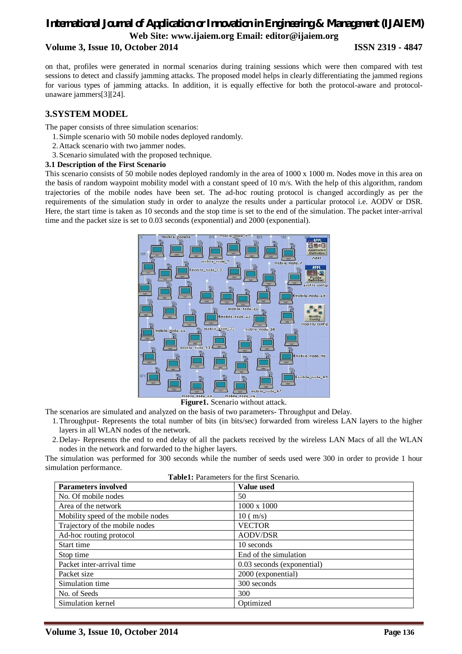on that, profiles were generated in normal scenarios during training sessions which were then compared with test sessions to detect and classify jamming attacks. The proposed model helps in clearly differentiating the jammed regions for various types of jamming attacks. In addition, it is equally effective for both the protocol-aware and protocolunaware jammers[3][24].

### **3.SYSTEM MODEL**

The paper consists of three simulation scenarios:

- 1.Simple scenario with 50 mobile nodes deployed randomly.
- 2.Attack scenario with two jammer nodes.
- 3.Scenario simulated with the proposed technique.
- **3.1 Description of the First Scenario**

This scenario consists of 50 mobile nodes deployed randomly in the area of 1000 x 1000 m. Nodes move in this area on the basis of random waypoint mobility model with a constant speed of 10 m/s. With the help of this algorithm, random trajectories of the mobile nodes have been set. The ad-hoc routing protocol is changed accordingly as per the requirements of the simulation study in order to analyze the results under a particular protocol i.e. AODV or DSR. Here, the start time is taken as 10 seconds and the stop time is set to the end of the simulation. The packet inter-arrival time and the packet size is set to 0.03 seconds (exponential) and 2000 (exponential).



**Figure1.** Scenario without attack.

The scenarios are simulated and analyzed on the basis of two parameters- Throughput and Delay.

- 1.Throughput- Represents the total number of bits (in bits/sec) forwarded from wireless LAN layers to the higher layers in all WLAN nodes of the network.
- 2.Delay- Represents the end to end delay of all the packets received by the wireless LAN Macs of all the WLAN nodes in the network and forwarded to the higher layers.

The simulation was performed for 300 seconds while the number of seeds used were 300 in order to provide 1 hour simulation performance.

| Table1: Parameters for the first Scenario. |  |  |  |
|--------------------------------------------|--|--|--|
|--------------------------------------------|--|--|--|

| <b>Parameters involved</b>         | <b>Value used</b>          |
|------------------------------------|----------------------------|
| No. Of mobile nodes                | 50                         |
| Area of the network                | $1000 \times 1000$         |
| Mobility speed of the mobile nodes | $10 \text{ (m/s)}$         |
| Trajectory of the mobile nodes     | <b>VECTOR</b>              |
| Ad-hoc routing protocol            | <b>AODV/DSR</b>            |
| Start time                         | 10 seconds                 |
| Stop time                          | End of the simulation      |
| Packet inter-arrival time          | 0.03 seconds (exponential) |
| Packet size                        | 2000 (exponential)         |
| Simulation time                    | 300 seconds                |
| No. of Seeds                       | 300                        |
| Simulation kernel                  | Optimized                  |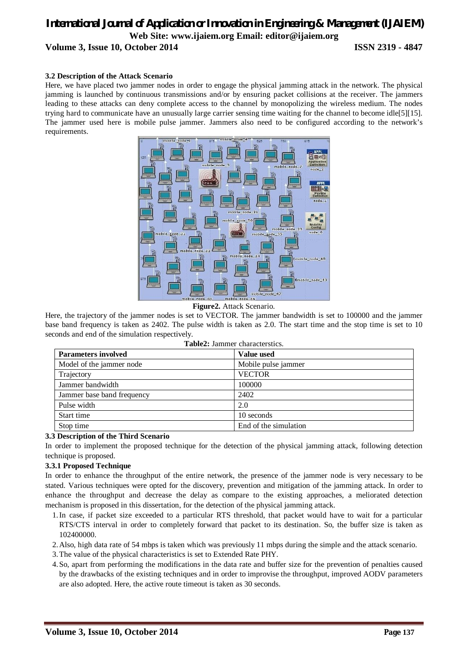#### **3.2 Description of the Attack Scenario**

Here, we have placed two jammer nodes in order to engage the physical jamming attack in the network. The physical jamming is launched by continuous transmissions and/or by ensuring packet collisions at the receiver. The jammers leading to these attacks can deny complete access to the channel by monopolizing the wireless medium. The nodes trying hard to communicate have an unusually large carrier sensing time waiting for the channel to become idle[5][15]. The jammer used here is mobile pulse jammer. Jammers also need to be configured according to the network's requirements.



**Figure2.** Attack Scenario.

Here, the trajectory of the jammer nodes is set to VECTOR. The jammer bandwidth is set to 100000 and the jammer base band frequency is taken as 2402. The pulse width is taken as 2.0. The start time and the stop time is set to 10 seconds and end of the simulation respectively.

| <b>Parameters involved</b> | <b>Value used</b>     |  |  |  |
|----------------------------|-----------------------|--|--|--|
| Model of the jammer node   | Mobile pulse jammer   |  |  |  |
| Trajectory                 | <b>VECTOR</b>         |  |  |  |
| Jammer bandwidth           | 100000                |  |  |  |
| Jammer base band frequency | 2402                  |  |  |  |
| Pulse width                | 2.0                   |  |  |  |
| Start time                 | 10 seconds            |  |  |  |
| Stop time                  | End of the simulation |  |  |  |

|  | <b>Table2:</b> Jammer characterstics. |
|--|---------------------------------------|
|  |                                       |

#### **3.3 Description of the Third Scenario**

In order to implement the proposed technique for the detection of the physical jamming attack, following detection technique is proposed.

#### **3.3.1 Proposed Technique**

In order to enhance the throughput of the entire network, the presence of the jammer node is very necessary to be stated. Various techniques were opted for the discovery, prevention and mitigation of the jamming attack. In order to enhance the throughput and decrease the delay as compare to the existing approaches, a meliorated detection mechanism is proposed in this dissertation, for the detection of the physical jamming attack.

- 1.In case, if packet size exceeded to a particular RTS threshold, that packet would have to wait for a particular RTS/CTS interval in order to completely forward that packet to its destination. So, the buffer size is taken as 102400000.
- 2.Also, high data rate of 54 mbps is taken which was previously 11 mbps during the simple and the attack scenario.
- 3.The value of the physical characteristics is set to Extended Rate PHY.
- 4.So, apart from performing the modifications in the data rate and buffer size for the prevention of penalties caused by the drawbacks of the existing techniques and in order to improvise the throughput, improved AODV parameters are also adopted. Here, the active route timeout is taken as 30 seconds.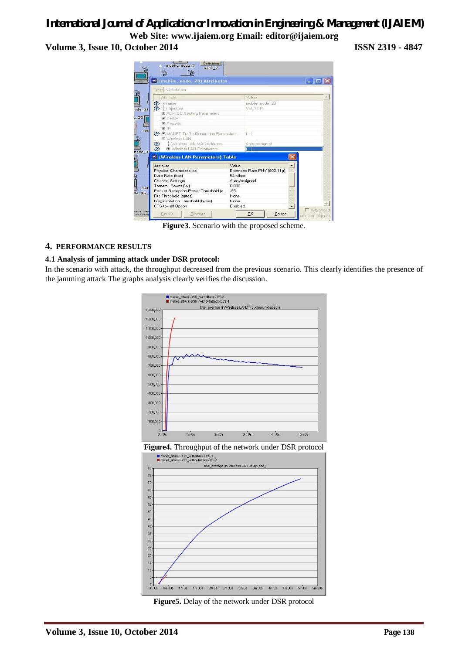# *International Journal of Application or Innovation in Engineering & Management (IJAIEM)*

**Web Site: www.ijaiem.org Email: editor@ijaiem.org Volume 3, Issue 10, October 2014 ISSN 2319 - 4847**



**Figure3**. Scenario with the proposed scheme.

#### **4. PERFORMANCE RESULTS**

#### **4.1 Analysis of jamming attack under DSR protocol:**

In the scenario with attack, the throughput decreased from the previous scenario. This clearly identifies the presence of the jamming attack The graphs analysis clearly verifies the discussion.





**Figure5.** Delay of the network under DSR protocol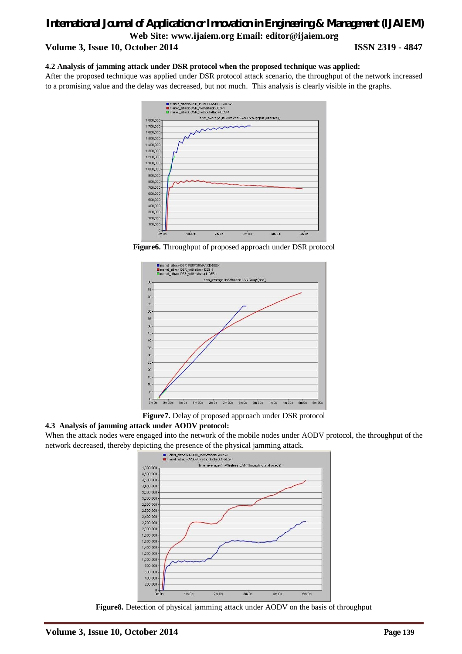#### **4.2 Analysis of jamming attack under DSR protocol when the proposed technique was applied:**

After the proposed technique was applied under DSR protocol attack scenario, the throughput of the network increased to a promising value and the delay was decreased, but not much. This analysis is clearly visible in the graphs.



**Figure6.** Throughput of proposed approach under DSR protocol



**Figure7.** Delay of proposed approach under DSR protocol

#### **4.3 Analysis of jamming attack under AODV protocol:**

When the attack nodes were engaged into the network of the mobile nodes under AODV protocol, the throughput of the network decreased, thereby depicting the presence of the physical jamming attack.



**Figure8.** Detection of physical jamming attack under AODV on the basis of throughput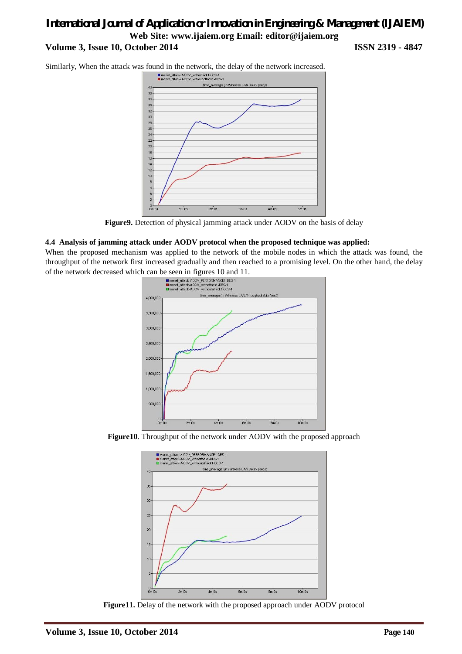Similarly, When the attack was found in the network, the delay of the network increased.



**Figure9.** Detection of physical jamming attack under AODV on the basis of delay

#### **4.4 Analysis of jamming attack under AODV protocol when the proposed technique was applied:**

When the proposed mechanism was applied to the network of the mobile nodes in which the attack was found, the throughput of the network first increased gradually and then reached to a promising level. On the other hand, the delay



**Figure10**. Throughput of the network under AODV with the proposed approach



**Figure11.** Delay of the network with the proposed approach under AODV protocol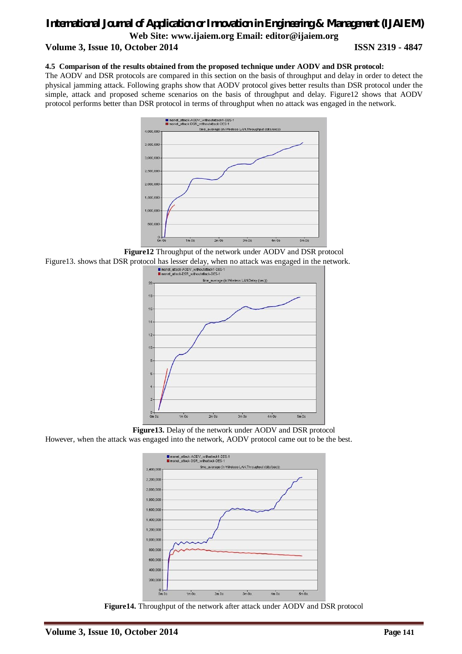#### **4.5 Comparison of the results obtained from the proposed technique under AODV and DSR protocol:**

The AODV and DSR protocols are compared in this section on the basis of throughput and delay in order to detect the physical jamming attack. Following graphs show that AODV protocol gives better results than DSR protocol under the simple, attack and proposed scheme scenarios on the basis of throughput and delay. Figure12 shows that AODV protocol performs better than DSR protocol in terms of throughput when no attack was engaged in the network.



**Figure12** Throughput of the network under AODV and DSR protocol Figure13. shows that DSR protocol has lesser delay, when no attack was engaged in the network.



**Figure13.** Delay of the network under AODV and DSR protocol

However, when the attack was engaged into the network, AODV protocol came out to be the best.



**Figure14.** Throughput of the network after attack under AODV and DSR protocol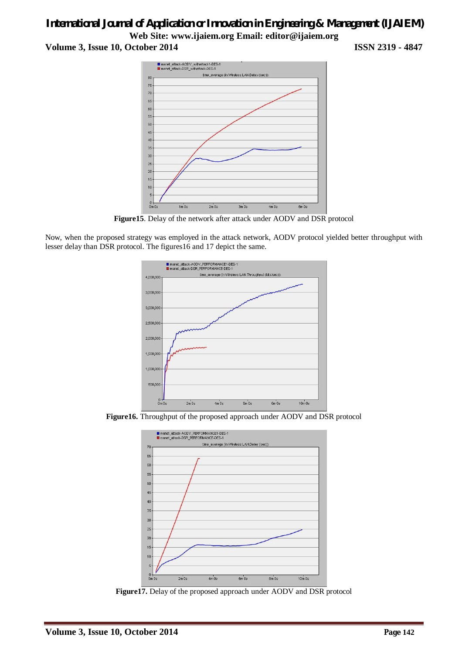# *International Journal of Application or Innovation in Engineering & Management (IJAIEM)* **Web Site: www.ijaiem.org Email: editor@ijaiem.org**

**Volume 3, Issue 10, October 2014 ISSN 2319 - 4847**



**Figure15**. Delay of the network after attack under AODV and DSR protocol

Now, when the proposed strategy was employed in the attack network, AODV protocol yielded better throughput with lesser delay than DSR protocol. The figures16 and 17 depict the same.



**Figure16.** Throughput of the proposed approach under AODV and DSR protocol



**Figure17.** Delay of the proposed approach under AODV and DSR protocol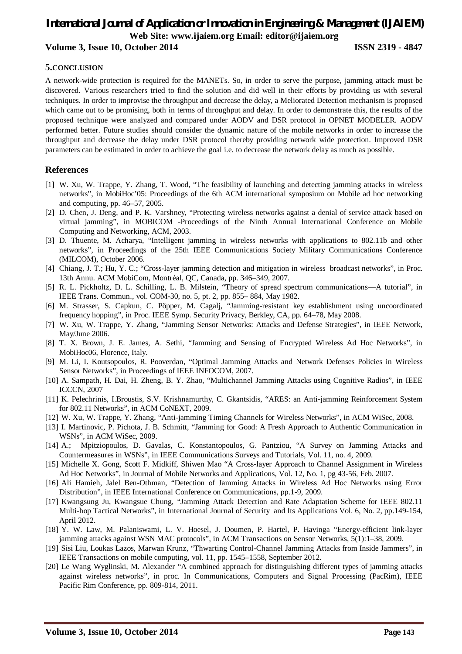#### **5.CONCLUSION**

A network-wide protection is required for the MANETs. So, in order to serve the purpose, jamming attack must be discovered. Various researchers tried to find the solution and did well in their efforts by providing us with several techniques. In order to improvise the throughput and decrease the delay, a Meliorated Detection mechanism is proposed which came out to be promising, both in terms of throughput and delay. In order to demonstrate this, the results of the proposed technique were analyzed and compared under AODV and DSR protocol in OPNET MODELER. AODV performed better. Future studies should consider the dynamic nature of the mobile networks in order to increase the throughput and decrease the delay under DSR protocol thereby providing network wide protection. Improved DSR parameters can be estimated in order to achieve the goal i.e. to decrease the network delay as much as possible.

### **References**

- [1] W. Xu, W. Trappe, Y. Zhang, T. Wood, "The feasibility of launching and detecting jamming attacks in wireless networks", in MobiHoc'05: Proceedings of the 6th ACM international symposium on Mobile ad hoc networking and computing, pp. 46–57, 2005.
- [2] D. Chen, J. Deng, and P. K. Varshney, "Protecting wireless networks against a denial of service attack based on virtual jamming", in MOBICOM -Proceedings of the Ninth Annual International Conference on Mobile Computing and Networking, ACM, 2003.
- [3] D. Thuente, M. Acharya, "Intelligent jamming in wireless networks with applications to 802.11b and other networks", in Proceedings of the 25th IEEE Communications Society Military Communications Conference (MILCOM), October 2006.
- [4] Chiang, J. T.; Hu, Y. C.; "Cross-layer jamming detection and mitigation in wireless broadcast networks", in Proc. 13th Annu. ACM MobiCom, Montréal, QC, Canada, pp. 346–349, 2007.
- [5] R. L. Pickholtz, D. L. Schilling, L. B. Milstein, "Theory of spread spectrum communications—A tutorial", in IEEE Trans. Commun., vol. COM-30, no. 5, pt. 2, pp. 855– 884, May 1982.
- [6] M. Strasser, S. Capkun, C. Pöpper, M. Cagalj, "Jamming-resistant key establishment using uncoordinated frequency hopping", in Proc. IEEE Symp. Security Privacy, Berkley, CA, pp. 64–78, May 2008.
- [7] W. Xu, W. Trappe, Y. Zhang, "Jamming Sensor Networks: Attacks and Defense Strategies", in IEEE Network, May/June 2006.
- [8] T. X. Brown, J. E. James, A. Sethi, "Jamming and Sensing of Encrypted Wireless Ad Hoc Networks", in MobiHoc06, Florence, Italy.
- [9] M. Li, I. Koutsopoulos, R. Pooverdan, "Optimal Jamming Attacks and Network Defenses Policies in Wireless Sensor Networks", in Proceedings of IEEE INFOCOM, 2007.
- [10] A. Sampath, H. Dai, H. Zheng, B. Y. Zhao, "Multichannel Jamming Attacks using Cognitive Radios", in IEEE ICCCN, 2007
- [11] K. Pelechrinis, I.Broustis, S.V. Krishnamurthy, C. Gkantsidis, "ARES: an Anti-jamming Reinforcement System for 802.11 Networks", in ACM CoNEXT, 2009.
- [12] W. Xu, W. Trappe, Y. Zhang, "Anti-jamming Timing Channels for Wireless Networks", in ACM WiSec, 2008.
- [13] I. Martinovic, P. Pichota, J. B. Schmitt, "Jamming for Good: A Fresh Approach to Authentic Communication in WSNs", in ACM WiSec, 2009.
- [14] A.; Mpitziopoulos, D. Gavalas, C. Konstantopoulos, G. Pantziou, "A Survey on Jamming Attacks and Countermeasures in WSNs", in IEEE Communications Surveys and Tutorials, Vol. 11, no. 4, 2009.
- [15] Michelle X. Gong, Scott F. Midkiff, Shiwen Mao "A Cross-layer Approach to Channel Assignment in Wireless Ad Hoc Networks", in Journal of Mobile Networks and Applications, Vol. 12, No. 1, pg 43-56, Feb. 2007.
- [16] Ali Hamieh, Jalel Ben-Othman, "Detection of Jamming Attacks in Wireless Ad Hoc Networks using Error Distribution", in IEEE International Conference on Communications, pp.1-9, 2009.
- [17] Kwangsung Ju, Kwangsue Chung, "Jamming Attack Detection and Rate Adaptation Scheme for IEEE 802.11 Multi-hop Tactical Networks", in International Journal of Security and Its Applications Vol. 6, No. 2, pp.149-154, April 2012.
- [18] Y. W. Law, M. Palaniswami, L. V. Hoesel, J. Doumen, P. Hartel, P. Havinga "Energy-efficient link-layer jamming attacks against WSN MAC protocols", in ACM Transactions on Sensor Networks, 5(1):1–38, 2009.
- [19] Sisi Liu, Loukas Lazos, Marwan Krunz, "Thwarting Control-Channel Jamming Attacks from Inside Jammers", in IEEE Transactions on mobile computing, vol. 11, pp. 1545–1558, September 2012.
- [20] Le Wang Wyglinski, M. Alexander "A combined approach for distinguishing different types of jamming attacks against wireless networks", in proc. In Communications, Computers and Signal Processing (PacRim), IEEE Pacific Rim Conference, pp. 809-814, 2011.